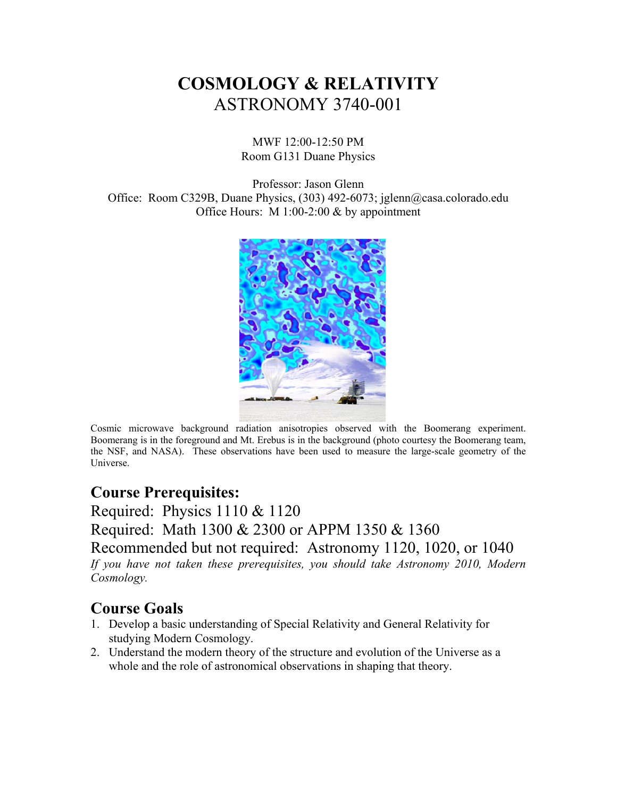# **COSMOLOGY & RELATIVITY**  ASTRONOMY 3740-001

MWF 12:00-12:50 PM Room G131 Duane Physics

Professor: Jason Glenn Office: Room C329B, Duane Physics, (303) 492-6073; jglenn@casa.colorado.edu Office Hours: M 1:00-2:00 & by appointment



Cosmic microwave background radiation anisotropies observed with the Boomerang experiment. Boomerang is in the foreground and Mt. Erebus is in the background (photo courtesy the Boomerang team, the NSF, and NASA). These observations have been used to measure the large-scale geometry of the Universe.

#### **Course Prerequisites:**

Required: Physics 1110 & 1120 Required: Math 1300 & 2300 or APPM 1350 & 1360 Recommended but not required: Astronomy 1120, 1020, or 1040 *If you have not taken these prerequisites, you should take Astronomy 2010, Modern Cosmology.* 

#### **Course Goals**

- 1. Develop a basic understanding of Special Relativity and General Relativity for studying Modern Cosmology.
- 2. Understand the modern theory of the structure and evolution of the Universe as a whole and the role of astronomical observations in shaping that theory.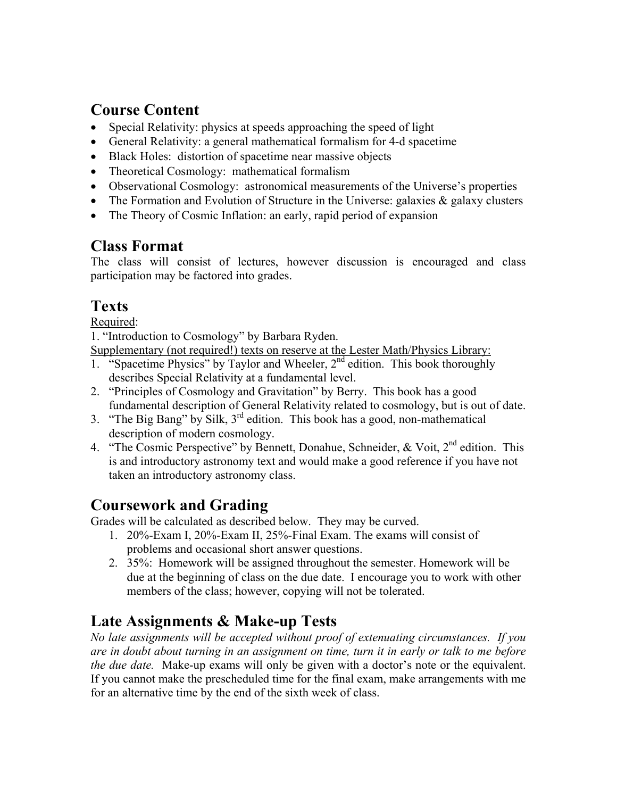### **Course Content**

- Special Relativity: physics at speeds approaching the speed of light
- General Relativity: a general mathematical formalism for 4-d spacetime
- Black Holes: distortion of spacetime near massive objects
- Theoretical Cosmology: mathematical formalism
- Observational Cosmology: astronomical measurements of the Universe's properties
- The Formation and Evolution of Structure in the Universe: galaxies  $\&$  galaxy clusters
- The Theory of Cosmic Inflation: an early, rapid period of expansion

# **Class Format**

The class will consist of lectures, however discussion is encouraged and class participation may be factored into grades.

# **Texts**

Required:

1. "Introduction to Cosmology" by Barbara Ryden.

Supplementary (not required!) texts on reserve at the Lester Math/Physics Library:

- 1. "Spacetime Physics" by Taylor and Wheeler,  $2<sup>nd</sup>$  edition. This book thoroughly describes Special Relativity at a fundamental level.
- 2. "Principles of Cosmology and Gravitation" by Berry. This book has a good fundamental description of General Relativity related to cosmology, but is out of date.
- 3. "The Big Bang" by Silk, 3rd edition. This book has a good, non-mathematical description of modern cosmology.
- 4. "The Cosmic Perspective" by Bennett, Donahue, Schneider, & Voit, 2<sup>nd</sup> edition. This is and introductory astronomy text and would make a good reference if you have not taken an introductory astronomy class.

### **Coursework and Grading**

Grades will be calculated as described below. They may be curved.

- 1. 20%-Exam I, 20%-Exam II, 25%-Final Exam. The exams will consist of problems and occasional short answer questions.
- 2. 35%: Homework will be assigned throughout the semester. Homework will be due at the beginning of class on the due date. I encourage you to work with other members of the class; however, copying will not be tolerated.

# **Late Assignments & Make-up Tests**

*No late assignments will be accepted without proof of extenuating circumstances. If you are in doubt about turning in an assignment on time, turn it in early or talk to me before the due date.* Make-up exams will only be given with a doctor's note or the equivalent. If you cannot make the prescheduled time for the final exam, make arrangements with me for an alternative time by the end of the sixth week of class.